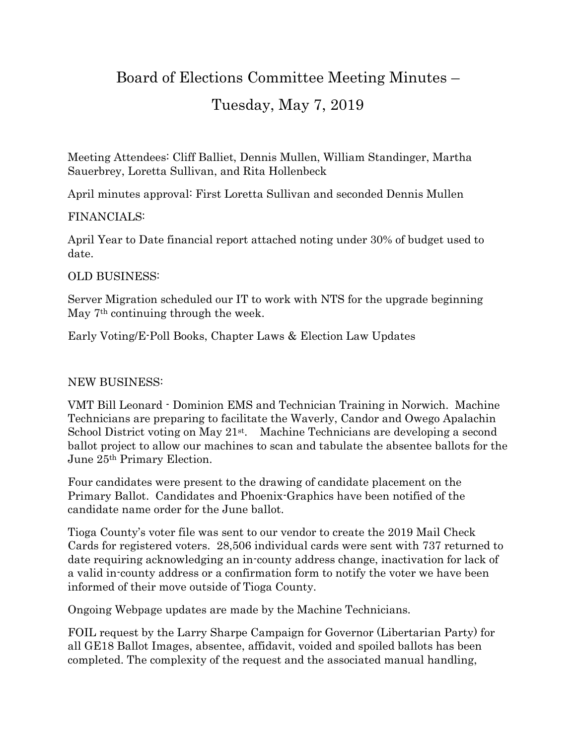# Board of Elections Committee Meeting Minutes –

## Tuesday, May 7, 2019

Meeting Attendees: Cliff Balliet, Dennis Mullen, William Standinger, Martha Sauerbrey, Loretta Sullivan, and Rita Hollenbeck

April minutes approval: First Loretta Sullivan and seconded Dennis Mullen

#### FINANCIALS:

April Year to Date financial report attached noting under 30% of budget used to date.

#### OLD BUSINESS:

Server Migration scheduled our IT to work with NTS for the upgrade beginning May 7<sup>th</sup> continuing through the week.

Early Voting/E-Poll Books, Chapter Laws & Election Law Updates

### NEW BUSINESS:

VMT Bill Leonard - Dominion EMS and Technician Training in Norwich. Machine Technicians are preparing to facilitate the Waverly, Candor and Owego Apalachin School District voting on May 21<sup>st</sup>. Machine Technicians are developing a second ballot project to allow our machines to scan and tabulate the absentee ballots for the June 25th Primary Election.

Four candidates were present to the drawing of candidate placement on the Primary Ballot. Candidates and Phoenix-Graphics have been notified of the candidate name order for the June ballot.

Tioga County's voter file was sent to our vendor to create the 2019 Mail Check Cards for registered voters. 28,506 individual cards were sent with 737 returned to date requiring acknowledging an in-county address change, inactivation for lack of a valid in-county address or a confirmation form to notify the voter we have been informed of their move outside of Tioga County.

Ongoing Webpage updates are made by the Machine Technicians.

FOIL request by the Larry Sharpe Campaign for Governor (Libertarian Party) for all GE18 Ballot Images, absentee, affidavit, voided and spoiled ballots has been completed. The complexity of the request and the associated manual handling,